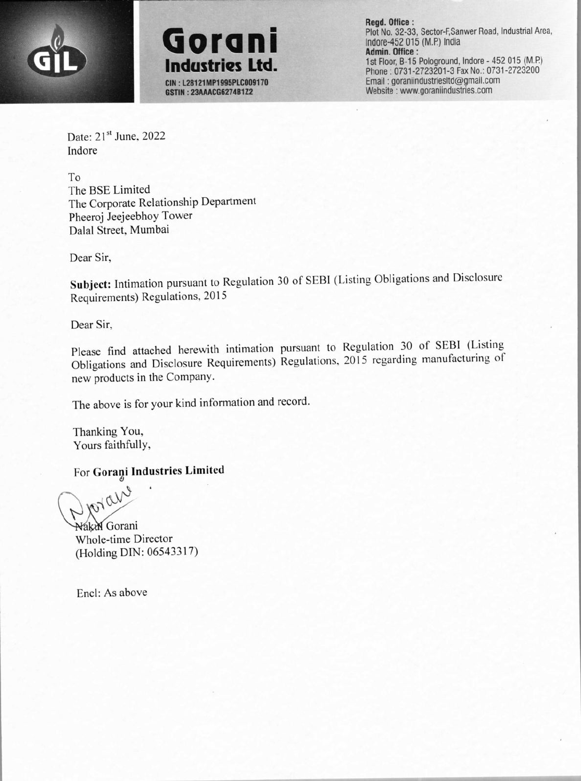



**Regd. Office:** Plot No. 32-33, Sector-F, Sanwer Road, Industrial Area, Indore-452 015 (M.P.) India **Admin. Office:** 1st Floor, B-15 Pologround, Indore - 452 015 (M.P.) Phone: 0731-2723201-3 Fax No.: 0731-2723200 Email: goraniindustriesltd@gmail.com Website: www.goraniindustries.com

Date: 21<sup>st</sup> June, 2022 Indore

To The BSE Limited The Corporate Relationship Department Pheeroj Jeejeebhoy Tower Dalal Street, Mumbai

Dear Sir,

**Subject:** Intimation pursuant to Regulation 30 of SEBI (Listing Obligations and Disclosure Requirements) Regulations, 2015

Dear Sir,

Please find attached herewith intimation pursuant to Regulation 30 of SEBI (Listing Obligations and Disclosure Requirements) Regulations, 2015 regarding manufacturing of new products in the Company.

The above is for your kind information and record.

Thanking You, Yours faithfully,

For **Gorani Industries Limited** ~

Nakul Gorani Whole-time Director (Holding DIN: 06543317)

Encl: As above